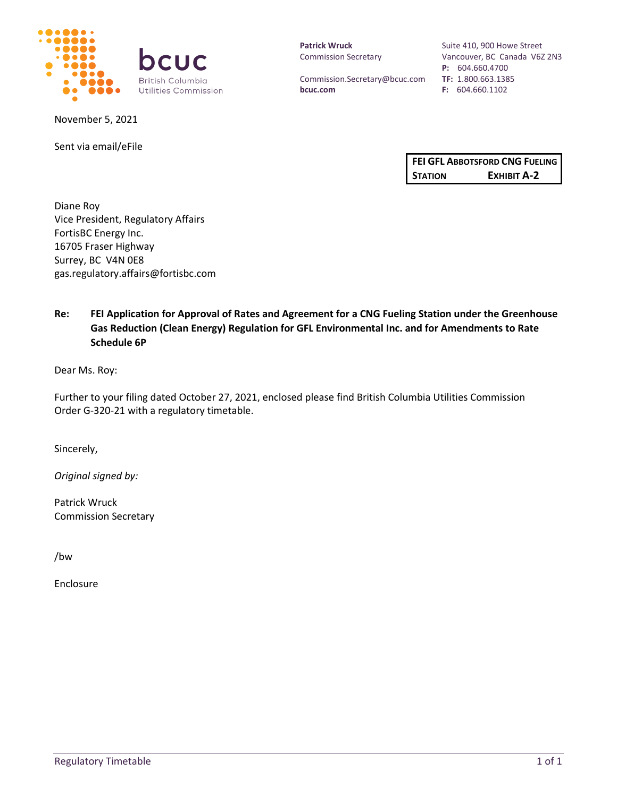

November 5, 2021

Sent via email/eFile

**Patrick Wruck** Commission Secretary

Commission.Secretary@bcuc.com **bcuc.com**

Suite 410, 900 Howe Street Vancouver, BC Canada V6Z 2N3 **P:** 604.660.4700 **TF:** 1.800.663.1385 **F:** 604.660.1102

|                | FEI GFL ABBOTSFORD CNG FUELING |  |
|----------------|--------------------------------|--|
| <b>STATION</b> | EXHIBIT A-2                    |  |

Diane Roy Vice President, Regulatory Affairs FortisBC Energy Inc. 16705 Fraser Highway Surrey, BC V4N 0E8 gas.regulatory.affairs@fortisbc.com

# **Re: FEI Application for Approval of Rates and Agreement for a CNG Fueling Station under the Greenhouse Gas Reduction (Clean Energy) Regulation for GFL Environmental Inc. and for Amendments to Rate Schedule 6P**

Dear Ms. Roy:

Further to your filing dated October 27, 2021, enclosed please find British Columbia Utilities Commission Order G-320-21 with a regulatory timetable.

Sincerely,

*Original signed by:*

Patrick Wruck Commission Secretary

/bw

Enclosure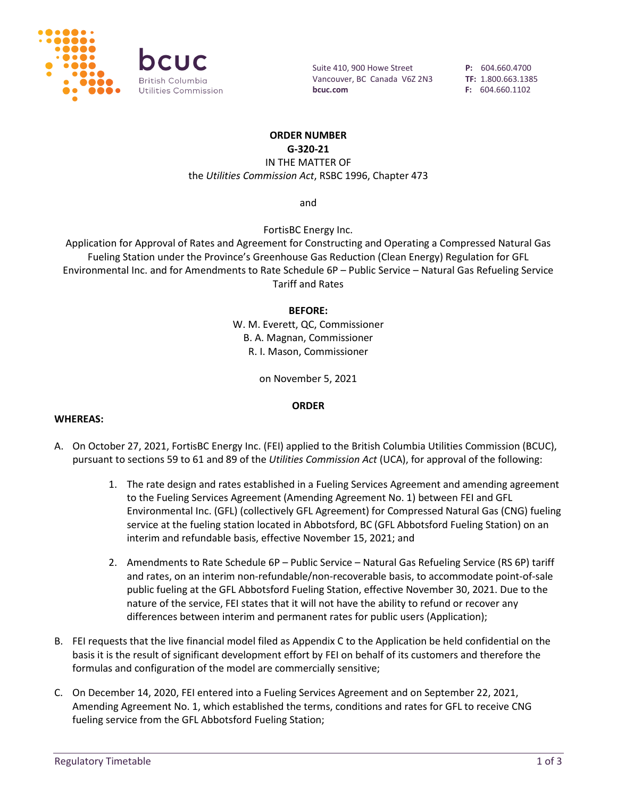

Suite 410, 900 Howe Street Vancouver, BC Canada V6Z 2N3 **bcuc.com**

**P:** 604.660.4700 **TF:** 1.800.663.1385 **F:** 604.660.1102

### **ORDER NUMBER**

**G-320-21**

IN THE MATTER OF the *Utilities Commission Act*, RSBC 1996, Chapter 473

and

FortisBC Energy Inc.

Application for Approval of Rates and Agreement for Constructing and Operating a Compressed Natural Gas Fueling Station under the Province's Greenhouse Gas Reduction (Clean Energy) Regulation for GFL Environmental Inc. and for Amendments to Rate Schedule 6P – Public Service – Natural Gas Refueling Service Tariff and Rates

#### **BEFORE:**

W. M. Everett, QC, Commissioner B. A. Magnan, Commissioner R. I. Mason, Commissioner

on November 5, 2021

### **ORDER**

#### **WHEREAS:**

- A. On October 27, 2021, FortisBC Energy Inc. (FEI) applied to the British Columbia Utilities Commission (BCUC), pursuant to sections 59 to 61 and 89 of the *Utilities Commission Act* (UCA), for approval of the following:
	- 1. The rate design and rates established in a Fueling Services Agreement and amending agreement to the Fueling Services Agreement (Amending Agreement No. 1) between FEI and GFL Environmental Inc. (GFL) (collectively GFL Agreement) for Compressed Natural Gas (CNG) fueling service at the fueling station located in Abbotsford, BC (GFL Abbotsford Fueling Station) on an interim and refundable basis, effective November 15, 2021; and
	- 2. Amendments to Rate Schedule 6P Public Service Natural Gas Refueling Service (RS 6P) tariff and rates, on an interim non-refundable/non-recoverable basis, to accommodate point-of-sale public fueling at the GFL Abbotsford Fueling Station, effective November 30, 2021. Due to the nature of the service, FEI states that it will not have the ability to refund or recover any differences between interim and permanent rates for public users (Application);
- B. FEI requests that the live financial model filed as Appendix C to the Application be held confidential on the basis it is the result of significant development effort by FEI on behalf of its customers and therefore the formulas and configuration of the model are commercially sensitive;
- C. On December 14, 2020, FEI entered into a Fueling Services Agreement and on September 22, 2021, Amending Agreement No. 1, which established the terms, conditions and rates for GFL to receive CNG fueling service from the GFL Abbotsford Fueling Station;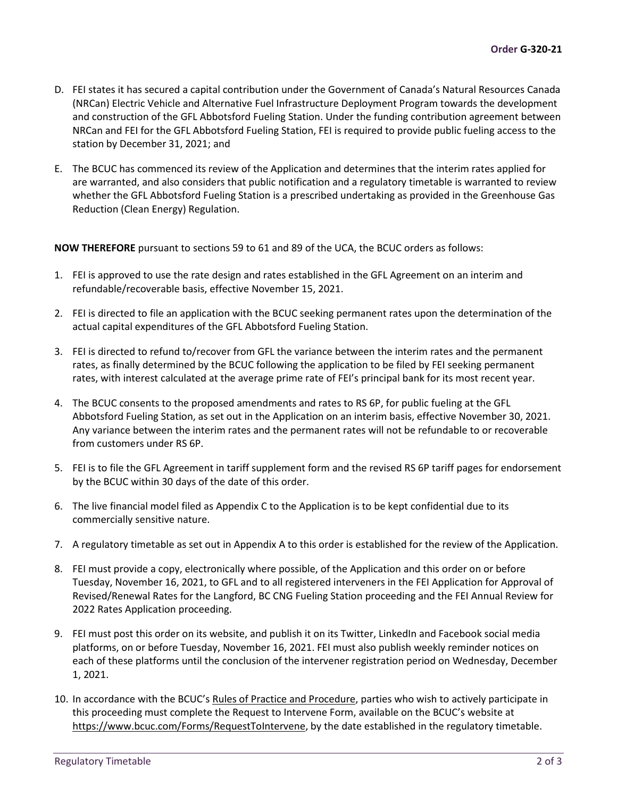- D. FEI states it has secured a capital contribution under the Government of Canada's Natural Resources Canada (NRCan) Electric Vehicle and Alternative Fuel Infrastructure Deployment Program towards the development and construction of the GFL Abbotsford Fueling Station. Under the funding contribution agreement between NRCan and FEI for the GFL Abbotsford Fueling Station, FEI is required to provide public fueling access to the station by December 31, 2021; and
- E. The BCUC has commenced its review of the Application and determines that the interim rates applied for are warranted, and also considers that public notification and a regulatory timetable is warranted to review whether the GFL Abbotsford Fueling Station is a prescribed undertaking as provided in the Greenhouse Gas Reduction (Clean Energy) Regulation.

**NOW THEREFORE** pursuant to sections 59 to 61 and 89 of the UCA, the BCUC orders as follows:

- 1. FEI is approved to use the rate design and rates established in the GFL Agreement on an interim and refundable/recoverable basis, effective November 15, 2021.
- 2. FEI is directed to file an application with the BCUC seeking permanent rates upon the determination of the actual capital expenditures of the GFL Abbotsford Fueling Station.
- 3. FEI is directed to refund to/recover from GFL the variance between the interim rates and the permanent rates, as finally determined by the BCUC following the application to be filed by FEI seeking permanent rates, with interest calculated at the average prime rate of FEI's principal bank for its most recent year.
- 4. The BCUC consents to the proposed amendments and rates to RS 6P, for public fueling at the GFL Abbotsford Fueling Station, as set out in the Application on an interim basis, effective November 30, 2021. Any variance between the interim rates and the permanent rates will not be refundable to or recoverable from customers under RS 6P.
- 5. FEI is to file the GFL Agreement in tariff supplement form and the revised RS 6P tariff pages for endorsement by the BCUC within 30 days of the date of this order.
- 6. The live financial model filed as Appendix C to the Application is to be kept confidential due to its commercially sensitive nature.
- 7. A regulatory timetable as set out in Appendix A to this order is established for the review of the Application.
- 8. FEI must provide a copy, electronically where possible, of the Application and this order on or before Tuesday, November 16, 2021, to GFL and to all registered interveners in the FEI Application for Approval of Revised/Renewal Rates for the Langford, BC CNG Fueling Station proceeding and the FEI Annual Review for 2022 Rates Application proceeding.
- 9. FEI must post this order on its website, and publish it on its Twitter, LinkedIn and Facebook social media platforms, on or before Tuesday, November 16, 2021. FEI must also publish weekly reminder notices on each of these platforms until the conclusion of the intervener registration period on Wednesday, December 1, 2021.
- 10. In accordance with the BCUC's [Rules of Practice and Procedure,](https://docs.bcuc.com/documents/participant-info/g-15-19_bcuc_rules_of_practice_and_procedure.pdf) parties who wish to actively participate in this proceeding must complete the Request to Intervene Form, available on the BCUC's website at [https://www.bcuc.com/Forms/RequestToIntervene,](https://www.bcuc.com/Forms/RequestToIntervene) by the date established in the regulatory timetable.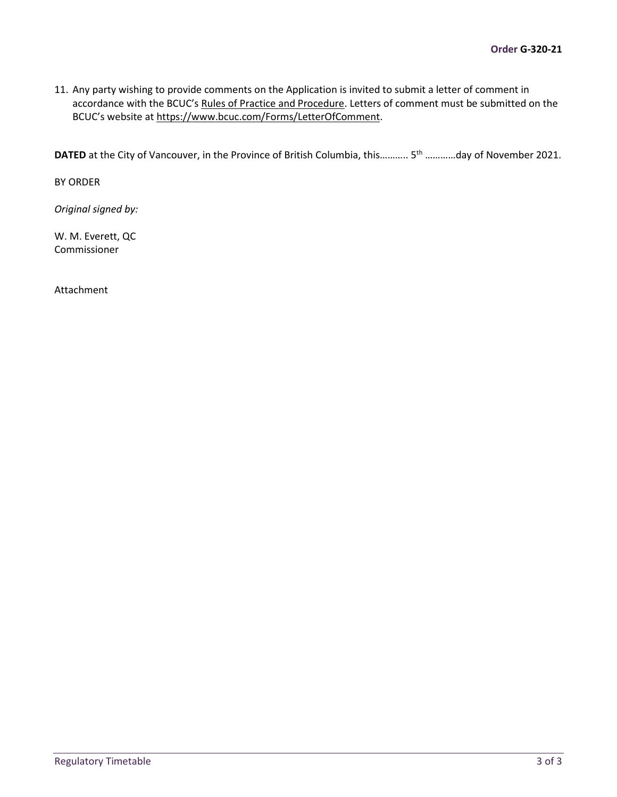11. Any party wishing to provide comments on the Application is invited to submit a letter of comment in accordance with the BCUC'[s Rules of Practice and Procedure.](https://docs.bcuc.com/documents/participant-info/g-15-19_bcuc_rules_of_practice_and_procedure.pdf) Letters of comment must be submitted on the BCUC's website at [https://www.bcuc.com/Forms/LetterOfComment.](https://www.bcuc.com/Forms/LetterOfComment)

**DATED** at the City of Vancouver, in the Province of British Columbia, this........... 5<sup>th</sup> ............day of November 2021.

BY ORDER

*Original signed by:*

W. M. Everett, QC Commissioner

Attachment